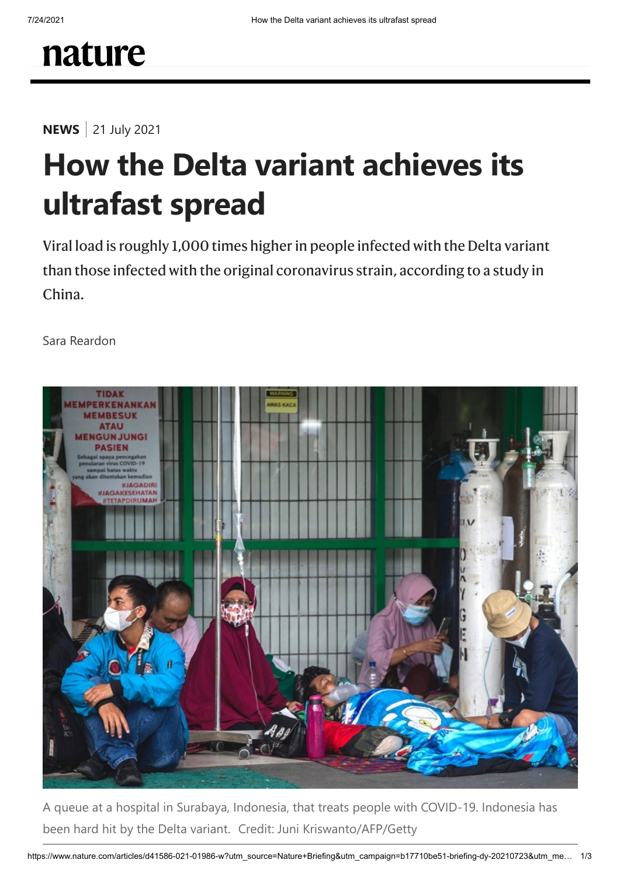**NEWS** 21 July 2021

## **How the Delta variant achieves its ultrafast spread**

Viral load is roughly 1,000 times higher in people infected with the Delta variant than those infected with the original coronavirus strain, according to a study in China.

Sara Reardon



A queue at a hospital in Surabaya, Indonesia, that treats people with COVID-19. Indonesia has been hard hit by the Delta variant. Credit: Juni Kriswanto/AFP/Getty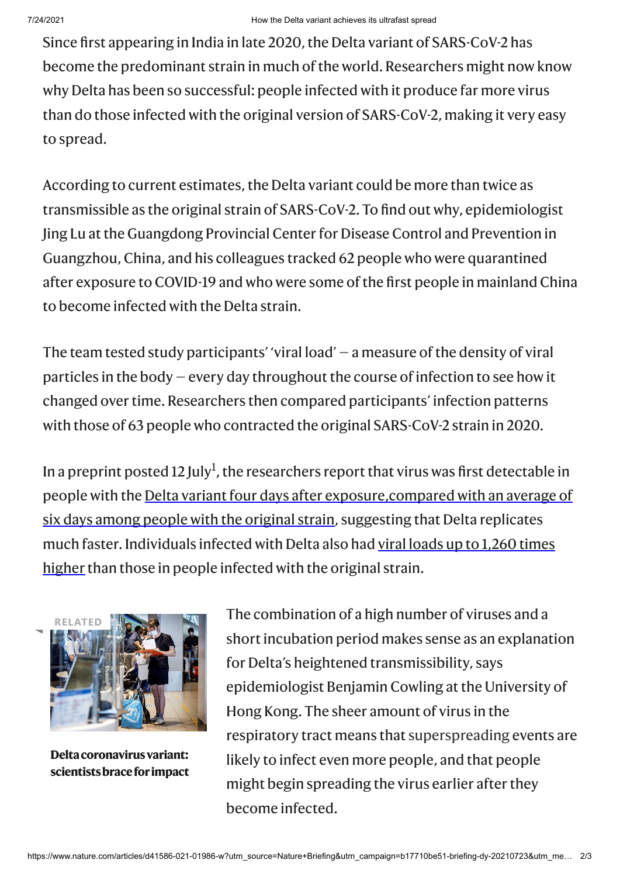Since first appearing in India in late 2020, the Delta variant of SARS-CoV-2 has become the predominant strain in much of the world. Researchers might now know why Delta has been so successful: people infected with it produce far more virus than do those infected with the original version of SARS-CoV-2, making it very easy to spread.

According to current estimates, the Delta variant could be more than twice as transmissible as the original strain of SARS-CoV-2. To find out why, epidemiologist Jing Lu atthe Guangdong Provincial Center for Disease Control and Prevention in Guangzhou, China, and his colleagues tracked 62 people who were quarantined after exposure to COVID-19 and who were some of the first people in mainland China to become infected with the Delta strain.

The team tested study participants' 'viral load'  $-$  a measure of the density of viral particles in the body  $-$  every day throughout the course of infection to see how it changed over time. Researchers then compared participants' infection patterns with those of 63 people who contracted the original SARS-CoV-2 strain in 2020.

In a preprint posted [1](#page-2-0)2 July<sup>1</sup>, the researchers report that virus was first detectable in people with the Delta variant four days after exposure, compared with an average of six days among people with the original strain, suggesting that Delta replicates much faster. Individuals infected with Delta also had viral loads up to 1,260 times higher than those in people infected with the original strain.



**Deltacoronavirusvariant: [scientistsbraceforimpact](https://www.nature.com/articles/d41586-021-01696-3)**

The combination of a high number of viruses and a short incubation period makes sense as an explanation for Delta's heightened transmissibility, says epidemiologist Benjamin Cowling at the University of Hong Kong. The sheer amount of virus in the respiratory tract means that [superspreading](https://www.nature.com/articles/d41586-021-00460-x) events are likely to infect even more people, and that people might begin spreading the virus earlier after they become infected.